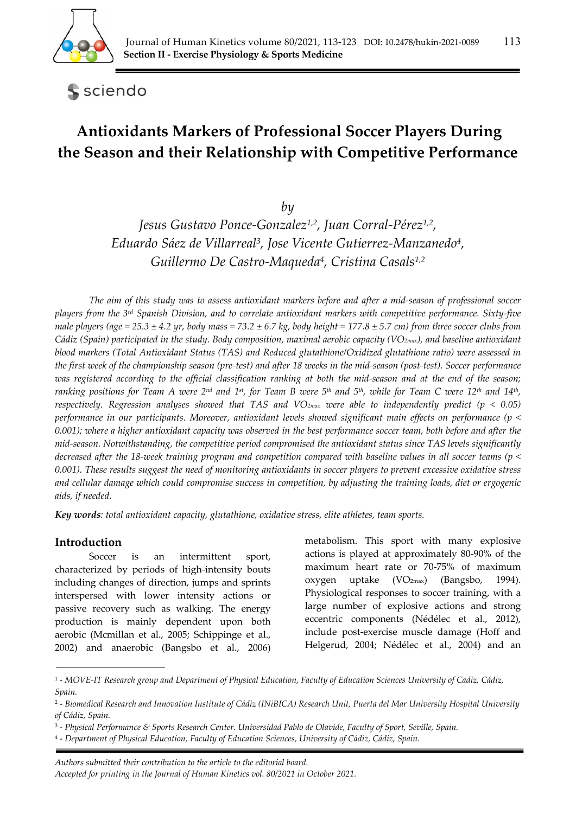

sciendo

# **Antioxidants Markers of Professional Soccer Players During the Season and their Relationship with Competitive Performance**

*by* 

*Jesus Gustavo Ponce-Gonzalez1,2, Juan Corral-Pérez1,2, Eduardo Sáez de Villarreal3, Jose Vicente Gutierrez-Manzanedo4, Guillermo De Castro-Maqueda4, Cristina Casals1,2*

*The aim of this study was to assess antioxidant markers before and after a mid-season of professional soccer players from the 3rd Spanish Division, and to correlate antioxidant markers with competitive performance. Sixty-five male players (age = 25.3*  $\pm$  *4.2 yr, body mass = 73.2*  $\pm$  *6.7 kg, body height = 177.8*  $\pm$  *5.7 cm) from three soccer clubs from Cádiz (Spain) participated in the study. Body composition, maximal aerobic capacity (VO2max), and baseline antioxidant blood markers (Total Antioxidant Status (TAS) and Reduced glutathione/Oxidized glutathione ratio) were assessed in the first week of the championship season (pre-test) and after 18 weeks in the mid-season (post-test). Soccer performance*  was registered according to the official classification ranking at both the mid-season and at the end of the season; *ranking positions for Team A were 2nd and 1st, for Team B were 5th and 5th, while for Team C were 12th and 14th, respectively. Regression analyses showed that TAS and VO2max were able to independently predict (p < 0.05) performance in our participants. Moreover, antioxidant levels showed significant main effects on performance (p < 0.001); where a higher antioxidant capacity was observed in the best performance soccer team, both before and after the mid-season. Notwithstanding, the competitive period compromised the antioxidant status since TAS levels significantly decreased after the 18-week training program and competition compared with baseline values in all soccer teams (p < 0.001). These results suggest the need of monitoring antioxidants in soccer players to prevent excessive oxidative stress and cellular damage which could compromise success in competition, by adjusting the training loads, diet or ergogenic aids, if needed.* 

*Key words: total antioxidant capacity, glutathione, oxidative stress, elite athletes, team sports.* 

## **Introduction**

Soccer is an intermittent sport, characterized by periods of high-intensity bouts including changes of direction, jumps and sprints interspersed with lower intensity actions or passive recovery such as walking. The energy production is mainly dependent upon both aerobic (Mcmillan et al., 2005; Schippinge et al., 2002) and anaerobic (Bangsbo et al., 2006) metabolism. This sport with many explosive actions is played at approximately 80-90% of the maximum heart rate or 70-75% of maximum oxygen uptake (VO2max) (Bangsbo, 1994). Physiological responses to soccer training, with a large number of explosive actions and strong eccentric components (Nédélec et al., 2012), include post-exercise muscle damage (Hoff and Helgerud, 2004; Nédélec et al., 2004) and an

*Authors submitted their contribution to the article to the editorial board. Accepted for printing in the Journal of Human Kinetics vol. 80/2021 in October 2021.* 

<sup>1 -</sup> *MOVE-IT Research group and Department of Physical Education, Faculty of Education Sciences University of Cadiz, Cádiz, Spain.* 

<sup>2 -</sup> *Biomedical Research and Innovation Institute of Cádiz (INiBICA) Research Unit, Puerta del Mar University Hospital University of Cádiz, Spain.* 

<sup>3 -</sup> *Physical Performance & Sports Research Center. Universidad Pablo de Olavide, Faculty of Sport, Seville, Spain.* 

<sup>4 -</sup> *Department of Physical Education, Faculty of Education Sciences, University of Cádiz, Cádiz, Spain.*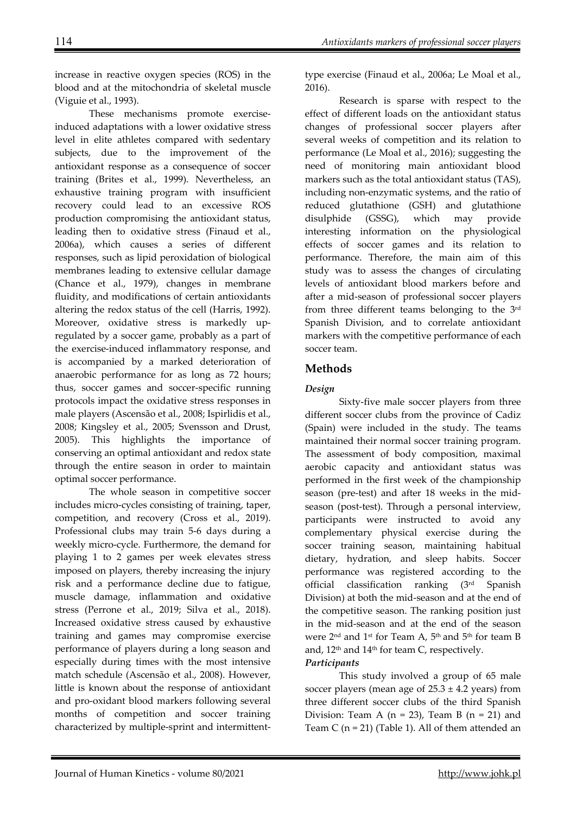increase in reactive oxygen species (ROS) in the blood and at the mitochondria of skeletal muscle (Viguie et al., 1993).

These mechanisms promote exerciseinduced adaptations with a lower oxidative stress level in elite athletes compared with sedentary subjects, due to the improvement of the antioxidant response as a consequence of soccer training (Brites et al., 1999). Nevertheless, an exhaustive training program with insufficient recovery could lead to an excessive ROS production compromising the antioxidant status, leading then to oxidative stress (Finaud et al., 2006a), which causes a series of different responses, such as lipid peroxidation of biological membranes leading to extensive cellular damage (Chance et al., 1979), changes in membrane fluidity, and modifications of certain antioxidants altering the redox status of the cell (Harris, 1992). Moreover, oxidative stress is markedly upregulated by a soccer game, probably as a part of the exercise-induced inflammatory response, and is accompanied by a marked deterioration of anaerobic performance for as long as 72 hours; thus, soccer games and soccer-specific running protocols impact the oxidative stress responses in male players (Ascensão et al., 2008; Ispirlidis et al., 2008; Kingsley et al., 2005; Svensson and Drust, 2005). This highlights the importance of conserving an optimal antioxidant and redox state through the entire season in order to maintain optimal soccer performance.

The whole season in competitive soccer includes micro-cycles consisting of training, taper, competition, and recovery (Cross et al., 2019). Professional clubs may train 5-6 days during a weekly micro-cycle. Furthermore, the demand for playing 1 to 2 games per week elevates stress imposed on players, thereby increasing the injury risk and a performance decline due to fatigue, muscle damage, inflammation and oxidative stress (Perrone et al., 2019; Silva et al., 2018). Increased oxidative stress caused by exhaustive training and games may compromise exercise performance of players during a long season and especially during times with the most intensive match schedule (Ascensão et al., 2008). However, little is known about the response of antioxidant and pro-oxidant blood markers following several months of competition and soccer training characterized by multiple-sprint and intermittenttype exercise (Finaud et al., 2006a; Le Moal et al., 2016).

Research is sparse with respect to the effect of different loads on the antioxidant status changes of professional soccer players after several weeks of competition and its relation to performance (Le Moal et al., 2016); suggesting the need of monitoring main antioxidant blood markers such as the total antioxidant status (TAS), including non-enzymatic systems, and the ratio of reduced glutathione (GSH) and glutathione disulphide (GSSG), which may provide interesting information on the physiological effects of soccer games and its relation to performance. Therefore, the main aim of this study was to assess the changes of circulating levels of antioxidant blood markers before and after a mid-season of professional soccer players from three different teams belonging to the 3rd Spanish Division, and to correlate antioxidant markers with the competitive performance of each soccer team.

# **Methods**

## *Design*

Sixty-five male soccer players from three different soccer clubs from the province of Cadiz (Spain) were included in the study. The teams maintained their normal soccer training program. The assessment of body composition, maximal aerobic capacity and antioxidant status was performed in the first week of the championship season (pre-test) and after 18 weeks in the midseason (post-test). Through a personal interview, participants were instructed to avoid any complementary physical exercise during the soccer training season, maintaining habitual dietary, hydration, and sleep habits. Soccer performance was registered according to the official classification ranking (3rd Spanish Division) at both the mid-season and at the end of the competitive season. The ranking position just in the mid-season and at the end of the season were 2nd and 1st for Team A, 5th and 5th for team B and, 12<sup>th</sup> and 14<sup>th</sup> for team C, respectively. *Participants*

This study involved a group of 65 male soccer players (mean age of  $25.3 \pm 4.2$  years) from three different soccer clubs of the third Spanish Division: Team A ( $n = 23$ ), Team B ( $n = 21$ ) and Team C ( $n = 21$ ) (Table 1). All of them attended an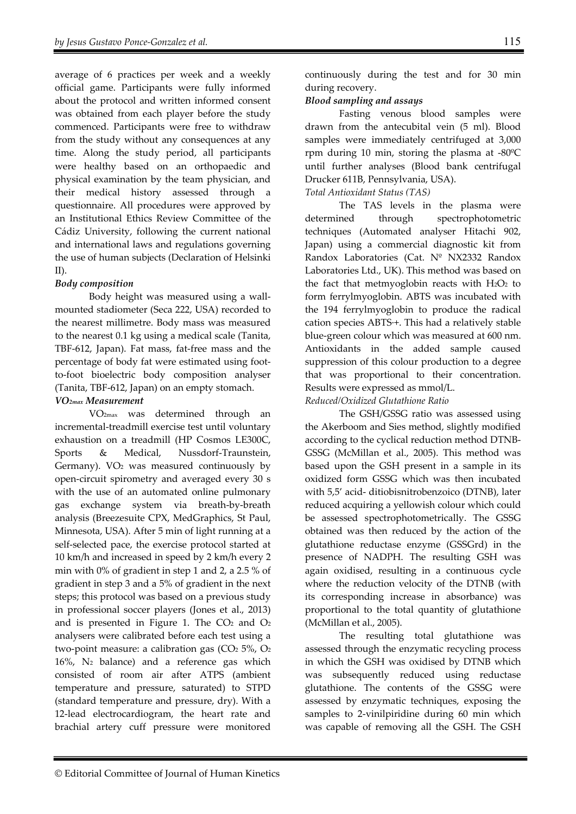average of 6 practices per week and a weekly official game. Participants were fully informed about the protocol and written informed consent was obtained from each player before the study commenced. Participants were free to withdraw from the study without any consequences at any time. Along the study period, all participants were healthy based on an orthopaedic and physical examination by the team physician, and their medical history assessed through a questionnaire. All procedures were approved by an Institutional Ethics Review Committee of the Cádiz University, following the current national and international laws and regulations governing the use of human subjects (Declaration of Helsinki II).

## *Body composition*

Body height was measured using a wallmounted stadiometer (Seca 222, USA) recorded to the nearest millimetre. Body mass was measured to the nearest 0.1 kg using a medical scale (Tanita, TBF-612, Japan). Fat mass, fat-free mass and the percentage of body fat were estimated using footto-foot bioelectric body composition analyser (Tanita, TBF-612, Japan) on an empty stomach.

#### *VO2max Measurement*

VO2max was determined through an incremental-treadmill exercise test until voluntary exhaustion on a treadmill (HP Cosmos LE300C, Sports & Medical, Nussdorf-Traunstein, Germany).  $VO<sub>2</sub>$  was measured continuously by open-circuit spirometry and averaged every 30 s with the use of an automated online pulmonary gas exchange system via breath-by-breath analysis (Breezesuite CPX, MedGraphics, St Paul, Minnesota, USA). After 5 min of light running at a self-selected pace, the exercise protocol started at 10 km/h and increased in speed by 2 km/h every 2 min with 0% of gradient in step 1 and 2, a 2.5 % of gradient in step 3 and a 5% of gradient in the next steps; this protocol was based on a previous study in professional soccer players (Jones et al., 2013) and is presented in Figure 1. The  $CO<sub>2</sub>$  and  $O<sub>2</sub>$ analysers were calibrated before each test using a two-point measure: a calibration gas  $(CO<sub>2</sub> 5%, O<sub>2</sub>)$ 16%, N2 balance) and a reference gas which consisted of room air after ATPS (ambient temperature and pressure, saturated) to STPD (standard temperature and pressure, dry). With a 12-lead electrocardiogram, the heart rate and brachial artery cuff pressure were monitored

continuously during the test and for 30 min during recovery.

## *Blood sampling and assays*

Fasting venous blood samples were drawn from the antecubital vein (5 ml). Blood samples were immediately centrifuged at 3,000 rpm during 10 min, storing the plasma at -80ºC until further analyses (Blood bank centrifugal Drucker 611B, Pennsylvania, USA).

#### *Total Antioxidant Status (TAS)*

The TAS levels in the plasma were determined through spectrophotometric techniques (Automated analyser Hitachi 902, Japan) using a commercial diagnostic kit from Randox Laboratories (Cat. Nº NX2332 Randox Laboratories Ltd., UK). This method was based on the fact that metmyoglobin reacts with  $H_2O_2$  to form ferrylmyoglobin. ABTS was incubated with the 194 ferrylmyoglobin to produce the radical cation species ABTS·+. This had a relatively stable blue-green colour which was measured at 600 nm. Antioxidants in the added sample caused suppression of this colour production to a degree that was proportional to their concentration. Results were expressed as mmol/L.

#### *Reduced/Oxidized Glutathione Ratio*

The GSH/GSSG ratio was assessed using the Akerboom and Sies method, slightly modified according to the cyclical reduction method DTNB-GSSG (McMillan et al., 2005). This method was based upon the GSH present in a sample in its oxidized form GSSG which was then incubated with 5,5' acid- ditiobisnitrobenzoico (DTNB), later reduced acquiring a yellowish colour which could be assessed spectrophotometrically. The GSSG obtained was then reduced by the action of the glutathione reductase enzyme (GSSGrd) in the presence of NADPH. The resulting GSH was again oxidised, resulting in a continuous cycle where the reduction velocity of the DTNB (with its corresponding increase in absorbance) was proportional to the total quantity of glutathione (McMillan et al., 2005).

The resulting total glutathione was assessed through the enzymatic recycling process in which the GSH was oxidised by DTNB which was subsequently reduced using reductase glutathione. The contents of the GSSG were assessed by enzymatic techniques, exposing the samples to 2-vinilpiridine during 60 min which was capable of removing all the GSH. The GSH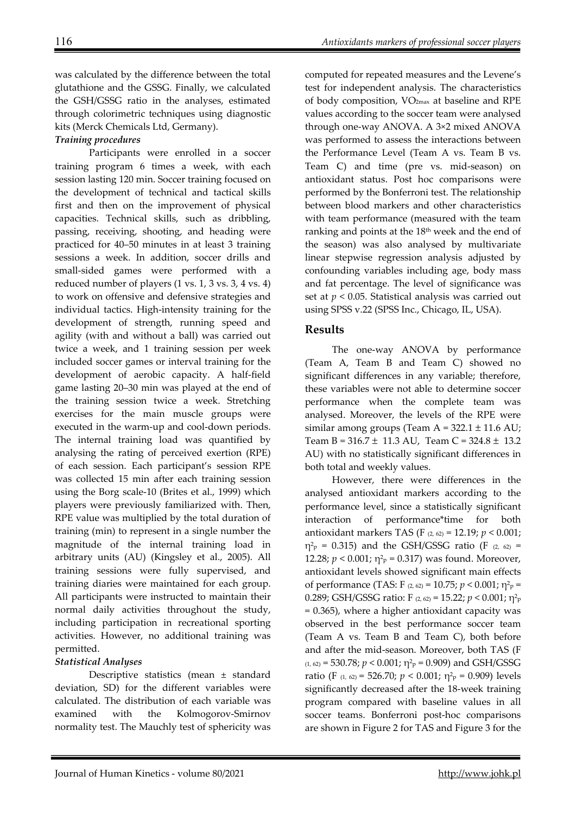was calculated by the difference between the total glutathione and the GSSG. Finally, we calculated the GSH/GSSG ratio in the analyses, estimated through colorimetric techniques using diagnostic kits (Merck Chemicals Ltd, Germany).

## *Training procedures*

 Participants were enrolled in a soccer training program 6 times a week, with each session lasting 120 min. Soccer training focused on the development of technical and tactical skills first and then on the improvement of physical capacities. Technical skills, such as dribbling, passing, receiving, shooting, and heading were practiced for 40–50 minutes in at least 3 training sessions a week. In addition, soccer drills and small-sided games were performed with a reduced number of players (1 vs. 1, 3 vs. 3, 4 vs. 4) to work on offensive and defensive strategies and individual tactics. High-intensity training for the development of strength, running speed and agility (with and without a ball) was carried out twice a week, and 1 training session per week included soccer games or interval training for the development of aerobic capacity. A half-field game lasting 20–30 min was played at the end of the training session twice a week. Stretching exercises for the main muscle groups were executed in the warm-up and cool-down periods. The internal training load was quantified by analysing the rating of perceived exertion (RPE) of each session. Each participant's session RPE was collected 15 min after each training session using the Borg scale-10 (Brites et al., 1999) which players were previously familiarized with. Then, RPE value was multiplied by the total duration of training (min) to represent in a single number the magnitude of the internal training load in arbitrary units (AU) (Kingsley et al., 2005). All training sessions were fully supervised, and training diaries were maintained for each group. All participants were instructed to maintain their normal daily activities throughout the study, including participation in recreational sporting activities. However, no additional training was permitted.

## *Statistical Analyses*

 Descriptive statistics (mean ± standard deviation, SD) for the different variables were calculated. The distribution of each variable was examined with the Kolmogorov-Smirnov normality test. The Mauchly test of sphericity was computed for repeated measures and the Levene's test for independent analysis. The characteristics of body composition, VO2max at baseline and RPE values according to the soccer team were analysed through one-way ANOVA. A 3×2 mixed ANOVA was performed to assess the interactions between the Performance Level (Team A vs. Team B vs. Team C) and time (pre vs. mid-season) on antioxidant status. Post hoc comparisons were performed by the Bonferroni test. The relationship between blood markers and other characteristics with team performance (measured with the team ranking and points at the 18<sup>th</sup> week and the end of the season) was also analysed by multivariate linear stepwise regression analysis adjusted by confounding variables including age, body mass and fat percentage. The level of significance was set at *p* < 0.05. Statistical analysis was carried out using SPSS v.22 (SPSS Inc., Chicago, IL, USA).

# **Results**

 The one-way ANOVA by performance (Team A, Team B and Team C) showed no significant differences in any variable; therefore, these variables were not able to determine soccer performance when the complete team was analysed. Moreover, the levels of the RPE were similar among groups (Team  $A = 322.1 \pm 11.6$  AU; Team B =  $316.7 \pm 11.3$  AU, Team C =  $324.8 \pm 13.2$ AU) with no statistically significant differences in both total and weekly values.

 However, there were differences in the analysed antioxidant markers according to the performance level, since a statistically significant interaction of performance\*time for both antioxidant markers TAS (F (2, 62) = 12.19; *p* < 0.001;  $\eta^2$ <sub>p</sub> = 0.315) and the GSH/GSSG ratio (F  $(2, 62)$  = 12.28;  $p < 0.001$ ;  $\eta^2$ <sub>p</sub> = 0.317) was found. Moreover, antioxidant levels showed significant main effects of performance (TAS: F (2, 62) = 10.75; *p* < 0.001; η2p = 0.289; GSH/GSSG ratio: F (2, 62) = 15.22; *p* < 0.001; η2p = 0.365), where a higher antioxidant capacity was observed in the best performance soccer team (Team A vs. Team B and Team C), both before and after the mid-season. Moreover, both TAS (F  $(1, 62)$  = 530.78;  $p < 0.001$ ;  $\eta^2$ <sub>p</sub> = 0.909) and GSH/GSSG ratio (F  $(1, 62)$  = 526.70;  $p < 0.001$ ;  $\eta^2$ <sub>p</sub> = 0.909) levels significantly decreased after the 18-week training program compared with baseline values in all soccer teams. Bonferroni post-hoc comparisons are shown in Figure 2 for TAS and Figure 3 for the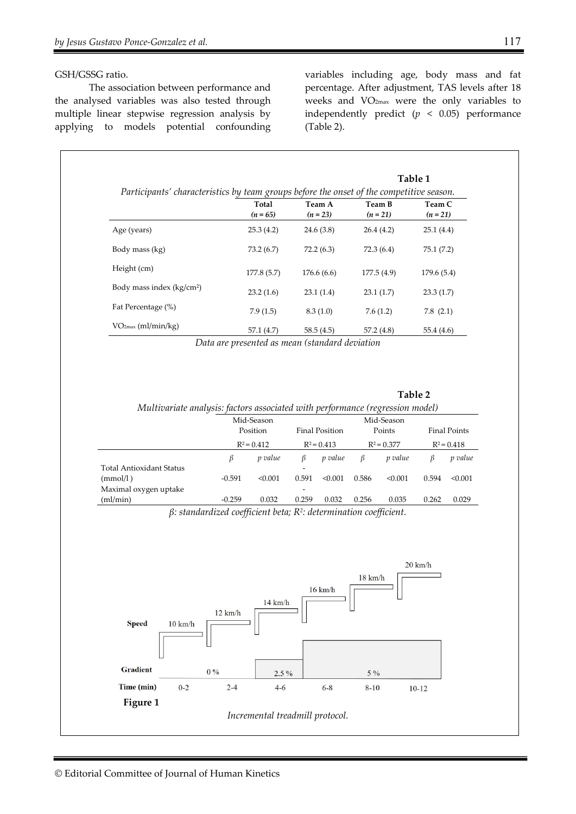#### GSH/GSSG ratio.

 The association between performance and the analysed variables was also tested through multiple linear stepwise regression analysis by applying to models potential confounding

variables including age, body mass and fat percentage. After adjustment, TAS levels after 18 weeks and VO2max were the only variables to independently predict  $(p < 0.05)$  performance (Table 2).

|                                       | Table 1<br>Participants' characteristics by team groups before the onset of the competitive season. |                      |                      |                    |  |  |
|---------------------------------------|-----------------------------------------------------------------------------------------------------|----------------------|----------------------|--------------------|--|--|
|                                       | Total<br>$(n = 65)$                                                                                 | Team A<br>$(n = 23)$ | Team B<br>$(n = 21)$ | Team C<br>$(n=21)$ |  |  |
| Age (years)                           | 25.3(4.2)                                                                                           | 24.6(3.8)            | 26.4(4.2)            | 25.1(4.4)          |  |  |
| Body mass (kg)                        | 73.2(6.7)                                                                                           | 72.2(6.3)            | 72.3(6.4)            | 75.1(7.2)          |  |  |
| Height (cm)                           | 177.8(5.7)                                                                                          | 176.6(6.6)           | 177.5(4.9)           | 179.6(5.4)         |  |  |
| Body mass index (kg/cm <sup>2</sup> ) | 23.2(1.6)                                                                                           | 23.1(1.4)            | 23.1(1.7)            | 23.3(1.7)          |  |  |
| Fat Percentage (%)                    | 7.9(1.5)                                                                                            | 8.3(1.0)             | 7.6(1.2)             | 7.8(2.1)           |  |  |
| VO <sub>2max</sub> (ml/min/kg)        | 57.1(4.7)                                                                                           | 58.5(4.5)            | 57.2(4.8)            | 55.4(4.6)          |  |  |

*Data are presented as mean (standard deviation* 

**Table 2** 

| Multivariate analysis: factors associated with performance (regression model) |                           |                |               |                       |               |         |               |                     |  |  |  |  |
|-------------------------------------------------------------------------------|---------------------------|----------------|---------------|-----------------------|---------------|---------|---------------|---------------------|--|--|--|--|
|                                                                               |                           | Mid-Season     | Mid-Season    |                       |               |         |               |                     |  |  |  |  |
|                                                                               | Position<br>$R^2 = 0.412$ |                |               | <b>Final Position</b> |               | Points  |               | <b>Final Points</b> |  |  |  |  |
|                                                                               |                           |                | $R^2 = 0.413$ |                       | $R^2 = 0.377$ |         | $R^2 = 0.418$ |                     |  |  |  |  |
|                                                                               | β                         | <i>p</i> value | ß             | p value               | β             | p value | В             | p value             |  |  |  |  |
| Total Antioxidant Status                                                      |                           |                | -             |                       |               |         |               |                     |  |  |  |  |
| (mmol/l)                                                                      | $-0.591$                  | < 0.001        | 0.591         | < 0.001               | 0.586         | < 0.001 | 0.594         | < 0.001             |  |  |  |  |
| Maximal oxygen uptake                                                         |                           |                |               |                       |               |         |               |                     |  |  |  |  |
| (ml/min)                                                                      | $-0.259$                  | 0.032          | 0.259         | 0.032                 | 0.256         | 0.035   | 0.262         | 0.029               |  |  |  |  |

*β: standardized coefficient beta; R2: determination coefficient.* 

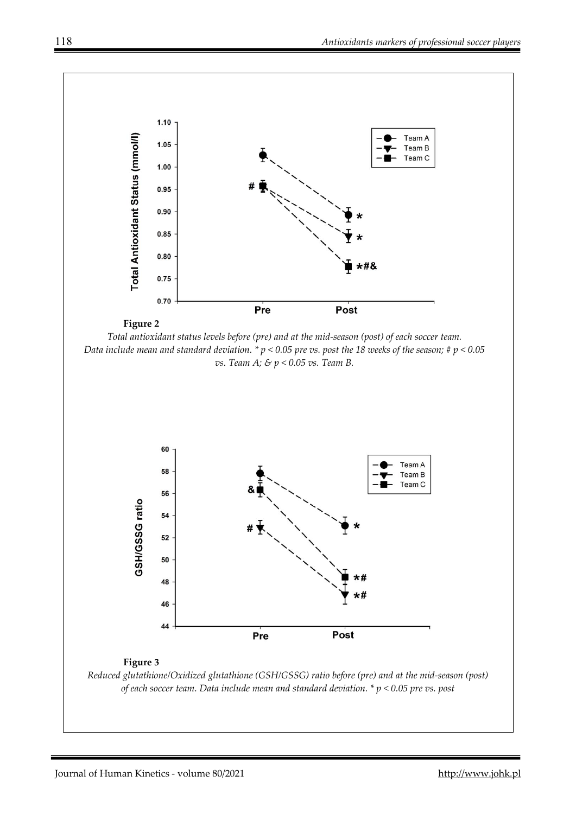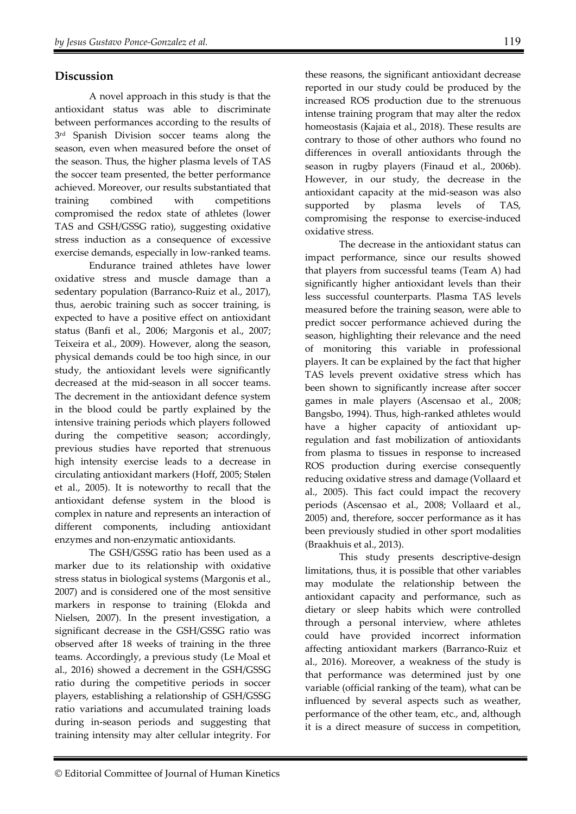#### **Discussion**

 A novel approach in this study is that the antioxidant status was able to discriminate between performances according to the results of 3<sup>rd</sup> Spanish Division soccer teams along the season, even when measured before the onset of the season. Thus, the higher plasma levels of TAS the soccer team presented, the better performance achieved. Moreover, our results substantiated that training combined with competitions compromised the redox state of athletes (lower TAS and GSH/GSSG ratio), suggesting oxidative stress induction as a consequence of excessive exercise demands, especially in low-ranked teams.

 Endurance trained athletes have lower oxidative stress and muscle damage than a sedentary population (Barranco-Ruiz et al., 2017), thus, aerobic training such as soccer training, is expected to have a positive effect on antioxidant status (Banfi et al., 2006; Margonis et al., 2007; Teixeira et al., 2009). However, along the season, physical demands could be too high since, in our study, the antioxidant levels were significantly decreased at the mid-season in all soccer teams. The decrement in the antioxidant defence system in the blood could be partly explained by the intensive training periods which players followed during the competitive season; accordingly, previous studies have reported that strenuous high intensity exercise leads to a decrease in circulating antioxidant markers (Hoff, 2005; Stølen et al., 2005). It is noteworthy to recall that the antioxidant defense system in the blood is complex in nature and represents an interaction of different components, including antioxidant enzymes and non-enzymatic antioxidants.

 The GSH/GSSG ratio has been used as a marker due to its relationship with oxidative stress status in biological systems (Margonis et al., 2007) and is considered one of the most sensitive markers in response to training (Elokda and Nielsen, 2007). In the present investigation, a significant decrease in the GSH/GSSG ratio was observed after 18 weeks of training in the three teams. Accordingly, a previous study (Le Moal et al., 2016) showed a decrement in the GSH/GSSG ratio during the competitive periods in soccer players, establishing a relationship of GSH/GSSG ratio variations and accumulated training loads during in-season periods and suggesting that training intensity may alter cellular integrity. For

these reasons, the significant antioxidant decrease reported in our study could be produced by the increased ROS production due to the strenuous intense training program that may alter the redox homeostasis (Kajaia et al., 2018). These results are contrary to those of other authors who found no differences in overall antioxidants through the season in rugby players (Finaud et al., 2006b). However, in our study, the decrease in the antioxidant capacity at the mid-season was also supported by plasma levels of TAS, compromising the response to exercise-induced oxidative stress. The decrease in the antioxidant status can

impact performance, since our results showed that players from successful teams (Team A) had significantly higher antioxidant levels than their less successful counterparts. Plasma TAS levels measured before the training season, were able to predict soccer performance achieved during the season, highlighting their relevance and the need of monitoring this variable in professional players. It can be explained by the fact that higher TAS levels prevent oxidative stress which has been shown to significantly increase after soccer games in male players (Ascensao et al., 2008; Bangsbo, 1994). Thus, high-ranked athletes would have a higher capacity of antioxidant upregulation and fast mobilization of antioxidants from plasma to tissues in response to increased ROS production during exercise consequently reducing oxidative stress and damage (Vollaard et al., 2005). This fact could impact the recovery periods (Ascensao et al., 2008; Vollaard et al., 2005) and, therefore, soccer performance as it has been previously studied in other sport modalities (Braakhuis et al., 2013).

 This study presents descriptive-design limitations, thus, it is possible that other variables may modulate the relationship between the antioxidant capacity and performance, such as dietary or sleep habits which were controlled through a personal interview, where athletes could have provided incorrect information affecting antioxidant markers (Barranco-Ruiz et al., 2016). Moreover, a weakness of the study is that performance was determined just by one variable (official ranking of the team), what can be influenced by several aspects such as weather, performance of the other team, etc., and, although it is a direct measure of success in competition,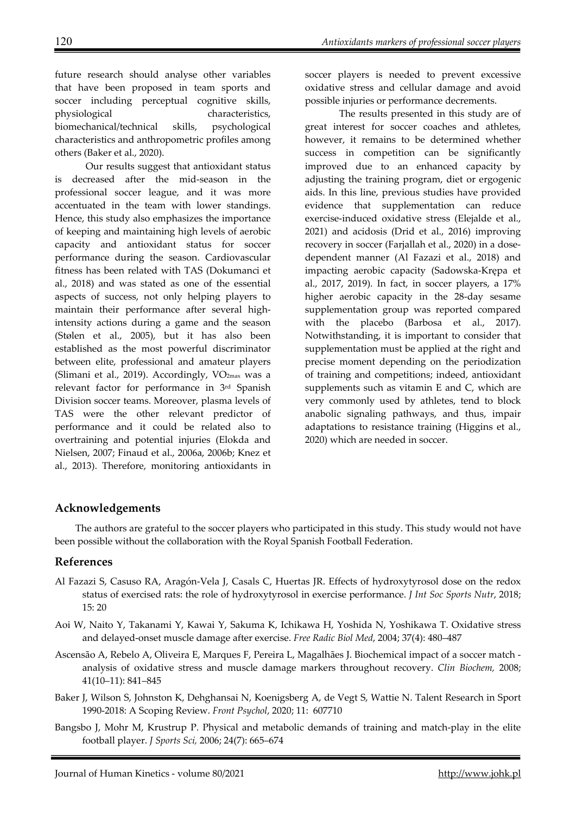future research should analyse other variables that have been proposed in team sports and soccer including perceptual cognitive skills, physiological characteristics, biomechanical/technical skills, psychological characteristics and anthropometric profiles among others (Baker et al., 2020).

Our results suggest that antioxidant status is decreased after the mid-season in the professional soccer league, and it was more accentuated in the team with lower standings. Hence, this study also emphasizes the importance of keeping and maintaining high levels of aerobic capacity and antioxidant status for soccer performance during the season. Cardiovascular fitness has been related with TAS (Dokumanci et al., 2018) and was stated as one of the essential aspects of success, not only helping players to maintain their performance after several highintensity actions during a game and the season (Stølen et al., 2005), but it has also been established as the most powerful discriminator between elite, professional and amateur players (Slimani et al., 2019). Accordingly, VO2max was a relevant factor for performance in 3rd Spanish Division soccer teams. Moreover, plasma levels of TAS were the other relevant predictor of performance and it could be related also to overtraining and potential injuries (Elokda and Nielsen, 2007; Finaud et al., 2006a, 2006b; Knez et al., 2013). Therefore, monitoring antioxidants in

soccer players is needed to prevent excessive oxidative stress and cellular damage and avoid possible injuries or performance decrements.

The results presented in this study are of great interest for soccer coaches and athletes, however, it remains to be determined whether success in competition can be significantly improved due to an enhanced capacity by adjusting the training program, diet or ergogenic aids. In this line, previous studies have provided evidence that supplementation can reduce exercise-induced oxidative stress (Elejalde et al., 2021) and acidosis (Drid et al., 2016) improving recovery in soccer (Farjallah et al., 2020) in a dosedependent manner (Al Fazazi et al., 2018) and impacting aerobic capacity (Sadowska-Krępa et al., 2017, 2019). In fact, in soccer players, a 17% higher aerobic capacity in the 28-day sesame supplementation group was reported compared with the placebo (Barbosa et al., 2017). Notwithstanding, it is important to consider that supplementation must be applied at the right and precise moment depending on the periodization of training and competitions; indeed, antioxidant supplements such as vitamin E and C, which are very commonly used by athletes, tend to block anabolic signaling pathways, and thus, impair adaptations to resistance training (Higgins et al., 2020) which are needed in soccer.

# **Acknowledgements**

The authors are grateful to the soccer players who participated in this study. This study would not have been possible without the collaboration with the Royal Spanish Football Federation.

# **References**

- Al Fazazi S, Casuso RA, Aragón-Vela J, Casals C, Huertas JR. Effects of hydroxytyrosol dose on the redox status of exercised rats: the role of hydroxytyrosol in exercise performance. *J Int Soc Sports Nutr*, 2018; 15: 20
- Aoi W, Naito Y, Takanami Y, Kawai Y, Sakuma K, Ichikawa H, Yoshida N, Yoshikawa T. Oxidative stress and delayed-onset muscle damage after exercise. *Free Radic Biol Med*, 2004; 37(4): 480–487
- Ascensão A, Rebelo A, Oliveira E, Marques F, Pereira L, Magalhães J. Biochemical impact of a soccer match analysis of oxidative stress and muscle damage markers throughout recovery. *Clin Biochem,* 2008; 41(10–11): 841–845
- Baker J, Wilson S, Johnston K, Dehghansai N, Koenigsberg A, de Vegt S, Wattie N. Talent Research in Sport 1990-2018: A Scoping Review. *Front Psychol*, 2020; 11: 607710
- Bangsbo J, Mohr M, Krustrup P. Physical and metabolic demands of training and match-play in the elite football player. *J Sports Sci,* 2006; 24(7): 665–674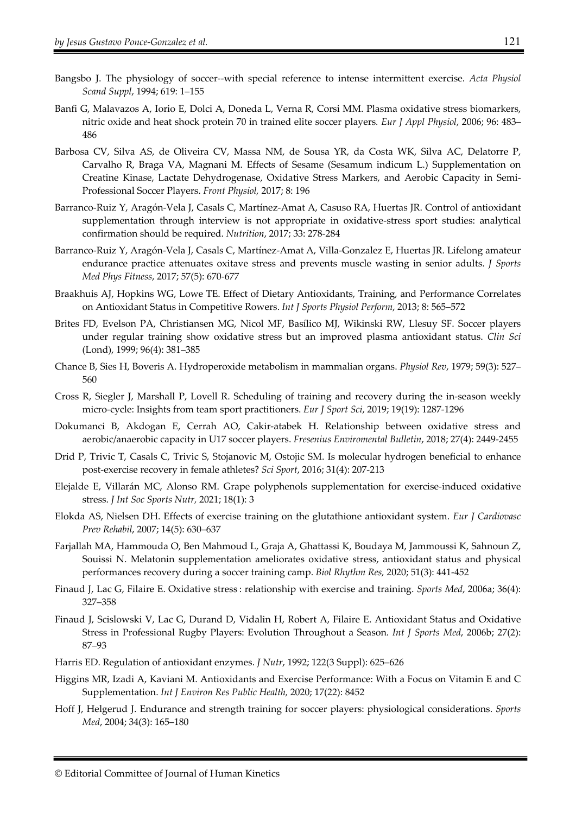- Bangsbo J. The physiology of soccer--with special reference to intense intermittent exercise. *Acta Physiol Scand Suppl*, 1994; 619: 1–155
- Banfi G, Malavazos A, Iorio E, Dolci A, Doneda L, Verna R, Corsi MM. Plasma oxidative stress biomarkers, nitric oxide and heat shock protein 70 in trained elite soccer players*. Eur J Appl Physiol*, 2006; 96: 483– 486
- Barbosa CV, Silva AS, de Oliveira CV, Massa NM, de Sousa YR, da Costa WK, Silva AC, Delatorre P, Carvalho R, Braga VA, Magnani M. Effects of Sesame (Sesamum indicum L.) Supplementation on Creatine Kinase, Lactate Dehydrogenase, Oxidative Stress Markers, and Aerobic Capacity in Semi-Professional Soccer Players. *Front Physiol,* 2017; 8: 196
- Barranco-Ruiz Y, Aragón-Vela J, Casals C, Martínez-Amat A, Casuso RA, Huertas JR. Control of antioxidant supplementation through interview is not appropriate in oxidative-stress sport studies: analytical confirmation should be required. *Nutrition*, 2017; 33: 278-284
- Barranco-Ruiz Y, Aragón-Vela J, Casals C, Martínez-Amat A, Villa-Gonzalez E, Huertas JR. Lifelong amateur endurance practice attenuates oxitave stress and prevents muscle wasting in senior adults. *J Sports Med Phys Fitness*, 2017; 57(5): 670-677
- Braakhuis AJ, Hopkins WG, Lowe TE. Effect of Dietary Antioxidants, Training, and Performance Correlates on Antioxidant Status in Competitive Rowers. *Int J Sports Physiol Perform*, 2013; 8: 565–572
- Brites FD, Evelson PA, Christiansen MG, Nicol MF, Basílico MJ, Wikinski RW, Llesuy SF. Soccer players under regular training show oxidative stress but an improved plasma antioxidant status. *Clin Sci*  (Lond), 1999; 96(4): 381–385
- Chance B, Sies H, Boveris A. Hydroperoxide metabolism in mammalian organs. *Physiol Rev*, 1979; 59(3): 527– 560
- Cross R, Siegler J, Marshall P, Lovell R. Scheduling of training and recovery during the in-season weekly micro-cycle: Insights from team sport practitioners. *Eur J Sport Sci*, 2019; 19(19): 1287-1296
- Dokumanci B, Akdogan E, Cerrah AO, Cakir-atabek H. Relationship between oxidative stress and aerobic/anaerobic capacity in U17 soccer players. *Fresenius Enviromental Bulletin*, 2018; 27(4): 2449-2455
- Drid P, Trivic T, Casals C, Trivic S, Stojanovic M, Ostojic SM. Is molecular hydrogen beneficial to enhance post-exercise recovery in female athletes? *Sci Sport*, 2016; 31(4): 207-213
- Elejalde E, Villarán MC, Alonso RM. Grape polyphenols supplementation for exercise-induced oxidative stress. *J Int Soc Sports Nutr,* 2021; 18(1): 3
- Elokda AS, Nielsen DH. Effects of exercise training on the glutathione antioxidant system. *Eur J Cardiovasc Prev Rehabil*, 2007; 14(5): 630–637
- Farjallah MA, Hammouda O, Ben Mahmoud L, Graja A, Ghattassi K, Boudaya M, Jammoussi K, Sahnoun Z, Souissi N. Melatonin supplementation ameliorates oxidative stress, antioxidant status and physical performances recovery during a soccer training camp. *Biol Rhythm Res,* 2020; 51(3): 441-452
- Finaud J, Lac G, Filaire E. Oxidative stress : relationship with exercise and training. *Sports Med*, 2006a; 36(4): 327–358
- Finaud J, Scislowski V, Lac G, Durand D, Vidalin H, Robert A, Filaire E. Antioxidant Status and Oxidative Stress in Professional Rugby Players: Evolution Throughout a Season*. Int J Sports Med*, 2006b; 27(2): 87–93
- Harris ED. Regulation of antioxidant enzymes. *J Nutr*, 1992; 122(3 Suppl): 625–626
- Higgins MR, Izadi A, Kaviani M. Antioxidants and Exercise Performance: With a Focus on Vitamin E and C Supplementation. *Int J Environ Res Public Health,* 2020; 17(22): 8452
- Hoff J, Helgerud J. Endurance and strength training for soccer players: physiological considerations. *Sports Med*, 2004; 34(3): 165–180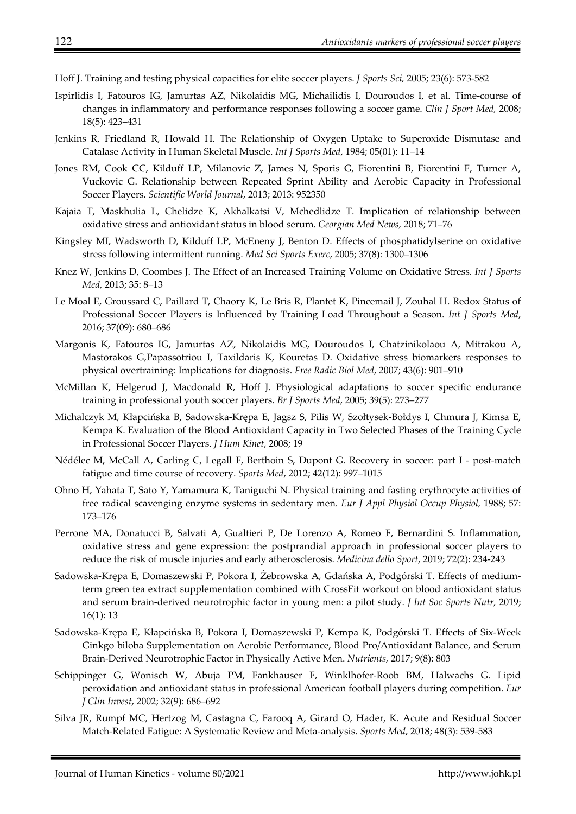Hoff J. Training and testing physical capacities for elite soccer players. *J Sports Sci,* 2005; 23(6): 573-582

- Ispirlidis I, Fatouros IG, Jamurtas AZ, Nikolaidis MG, Michailidis I, Douroudos I, et al. Time-course of changes in inflammatory and performance responses following a soccer game. *Clin J Sport Med,* 2008; 18(5): 423–431
- Jenkins R, Friedland R, Howald H. The Relationship of Oxygen Uptake to Superoxide Dismutase and Catalase Activity in Human Skeletal Muscle. *Int J Sports Med*, 1984; 05(01): 11–14
- Jones RM, Cook CC, Kilduff LP, Milanovic Z, James N, Sporis G, Fiorentini B, Fiorentini F, Turner A, Vuckovic G. Relationship between Repeated Sprint Ability and Aerobic Capacity in Professional Soccer Players. *Scientific World Journal*, 2013; 2013: 952350
- Kajaia T, Maskhulia L, Chelidze K, Akhalkatsi V, Mchedlidze T. Implication of relationship between oxidative stress and antioxidant status in blood serum. *Georgian Med News,* 2018; 71–76
- Kingsley MI, Wadsworth D, Kilduff LP, McEneny J, Benton D. Effects of phosphatidylserine on oxidative stress following intermittent running. *Med Sci Sports Exerc*, 2005; 37(8): 1300–1306
- Knez W, Jenkins D, Coombes J. The Effect of an Increased Training Volume on Oxidative Stress. *Int J Sports Med,* 2013; 35: 8–13
- Le Moal E, Groussard C, Paillard T, Chaory K, Le Bris R, Plantet K, Pincemail J, Zouhal H. Redox Status of Professional Soccer Players is Influenced by Training Load Throughout a Season. *Int J Sports Med*, 2016; 37(09): 680–686
- Margonis K, Fatouros IG, Jamurtas AZ, Nikolaidis MG, Douroudos I, Chatzinikolaou A, Mitrakou A, Mastorakos G,Papassotriou I, Taxildaris K, Kouretas D. Oxidative stress biomarkers responses to physical overtraining: Implications for diagnosis. *Free Radic Biol Med*, 2007; 43(6): 901–910
- McMillan K, Helgerud J, Macdonald R, Hoff J. Physiological adaptations to soccer specific endurance training in professional youth soccer players. *Br J Sports Med*, 2005; 39(5): 273–277
- Michalczyk M, Kłapcińska B, Sadowska-Krępa E, Jagsz S, Pilis W, Szołtysek-Bołdys I, Chmura J, Kimsa E, Kempa K. Evaluation of the Blood Antioxidant Capacity in Two Selected Phases of the Training Cycle in Professional Soccer Players. *J Hum Kinet*, 2008; 19
- Nédélec M, McCall A, Carling C, Legall F, Berthoin S, Dupont G. Recovery in soccer: part I post-match fatigue and time course of recovery. *Sports Med*, 2012; 42(12): 997–1015
- Ohno H, Yahata T, Sato Y, Yamamura K, Taniguchi N. Physical training and fasting erythrocyte activities of free radical scavenging enzyme systems in sedentary men. *Eur J Appl Physiol Occup Physiol,* 1988; 57: 173–176
- Perrone MA, Donatucci B, Salvati A, Gualtieri P, De Lorenzo A, Romeo F, Bernardini S. Inflammation, oxidative stress and gene expression: the postprandial approach in professional soccer players to reduce the risk of muscle injuries and early atherosclerosis. *Medicina dello Sport*, 2019; 72(2): 234-243
- Sadowska-Krępa E, Domaszewski P, Pokora I, Żebrowska A, Gdańska A, Podgórski T. Effects of mediumterm green tea extract supplementation combined with CrossFit workout on blood antioxidant status and serum brain-derived neurotrophic factor in young men: a pilot study. *J Int Soc Sports Nutr,* 2019; 16(1): 13
- Sadowska-Krępa E, Kłapcińska B, Pokora I, Domaszewski P, Kempa K, Podgórski T. Effects of Six-Week Ginkgo biloba Supplementation on Aerobic Performance, Blood Pro/Antioxidant Balance, and Serum Brain-Derived Neurotrophic Factor in Physically Active Men. *Nutrients,* 2017; 9(8): 803
- Schippinger G, Wonisch W, Abuja PM, Fankhauser F, Winklhofer-Roob BM, Halwachs G. Lipid peroxidation and antioxidant status in professional American football players during competition. *Eur J Clin Invest*, 2002; 32(9): 686–692
- Silva JR, Rumpf MC, Hertzog M, Castagna C, Farooq A, Girard O, Hader, K. Acute and Residual Soccer Match-Related Fatigue: A Systematic Review and Meta-analysis. *Sports Med*, 2018; 48(3): 539-583